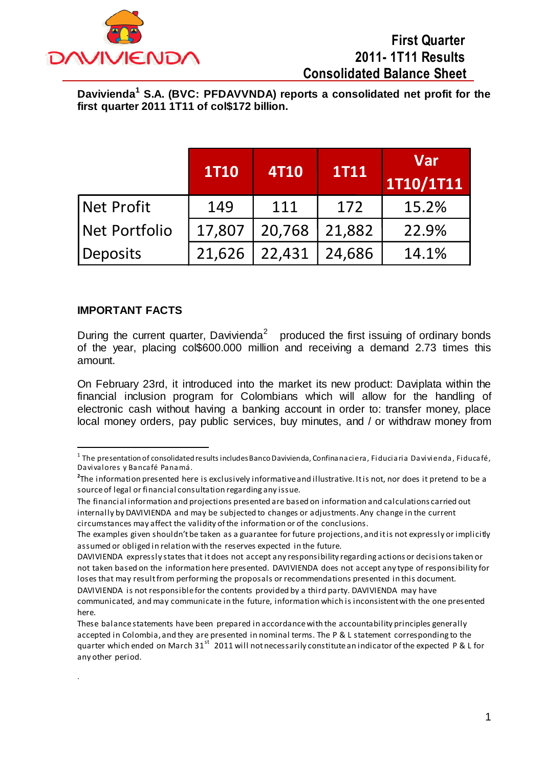

**Davivienda<sup>1</sup> S.A. (BVC: PFDAVVNDA) reports a consolidated net profit for the first quarter 2011 1T11 of col\$172 billion.** 

|                   | <b>1T10</b> | <b>4T10</b> | <b>1T11</b> | <b>Var</b><br>1T10/1T11 |
|-------------------|-------------|-------------|-------------|-------------------------|
| <b>Net Profit</b> | 149         | 111         | 172         | 15.2%                   |
| Net Portfolio     | 17,807      | 20,768      | 21,882      | 22.9%                   |
| Deposits          | 21,626      | 22,431      | 24,686      | 14.1%                   |

#### **IMPORTANT FACTS**

 $\overline{a}$ 

here.

.

During the current quarter, Davivienda<sup>2</sup> produced the first issuing of ordinary bonds of the year, placing col\$600.000 million and receiving a demand 2.73 times this amount.

On February 23rd, it introduced into the market its new product: Daviplata within the financial inclusion program for Colombians which will allow for the handling of electronic cash without having a banking account in order to: transfer money, place local money orders, pay public services, buy minutes, and / or withdraw money from

 $^{\rm 1}$  The presentation of consolidated results includes Banco Davivienda, Confinanaciera, Fiduciaria Davivienda, Fiducafé, Davivalores y Bancafé Panamá.

**<sup>2</sup>** The information presented here is exclusively informative and illustrative. It is not, nor does it pretend to be a source of legal or financial consultation regarding any issue.

The financial information and projections presented are based on information and calculations carried out internally by DAVIVIENDA and may be subjected to changes or adjustments. Any change in the current circumstances may affect the validity of the information or of the conclusions.

The examples given shouldn't be taken as a guarantee for future projections, and it is not expressly or implicitly assumed or obliged in relation with the reserves expected in the future.

DAVIVIENDA expressly states that it does not accept any responsibility regarding actions or decisions taken or not taken based on the information here presented. DAVIVIENDA does not accept any type of responsibility for loses that may result from performing the proposals or recommendations presented in this document. DAVIVIENDA is not responsible for the contents provided by a third party. DAVIVIENDA may have communicated, and may communicate in the future, information which is inconsistent with the one presented

These balance statements have been prepared in accordance with the accountability principles generally accepted in Colombia, and they are presented in nominal terms. The P & L statement corresponding to the quarter which ended on March 31<sup>st</sup> 2011 will not necessarily constitute an indicator of the expected P & L for any other period.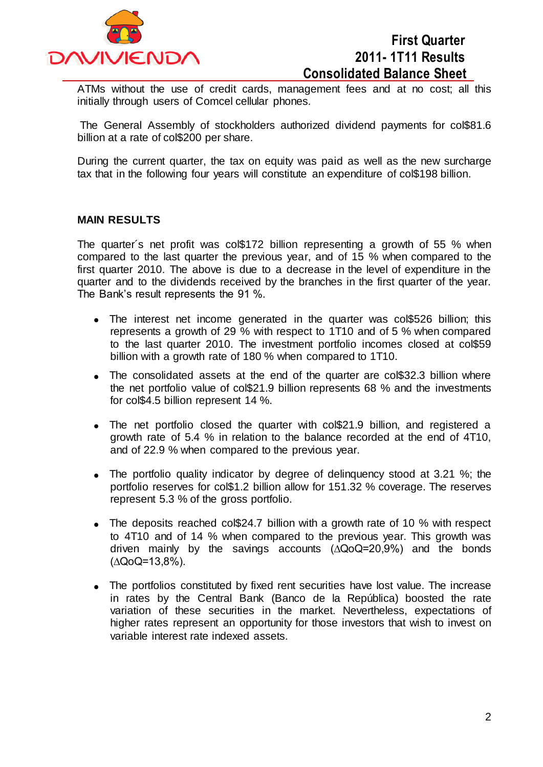

ATMs without the use of credit cards, management fees and at no cost; all this initially through users of Comcel cellular phones.

The General Assembly of stockholders authorized dividend payments for col\$81.6 billion at a rate of col\$200 per share.

During the current quarter, the tax on equity was paid as well as the new surcharge tax that in the following four years will constitute an expenditure of col\$198 billion.

#### **MAIN RESULTS**

The quarter´s net profit was col\$172 billion representing a growth of 55 % when compared to the last quarter the previous year, and of 15 % when compared to the first quarter 2010. The above is due to a decrease in the level of expenditure in the quarter and to the dividends received by the branches in the first quarter of the year. The Bank's result represents the 91 %.

- The interest net income generated in the quarter was col\$526 billion; this represents a growth of 29 % with respect to 1T10 and of 5 % when compared to the last quarter 2010. The investment portfolio incomes closed at col\$59 billion with a growth rate of 180 % when compared to 1T10.
- The consolidated assets at the end of the quarter are col\$32.3 billion where the net portfolio value of col\$21.9 billion represents 68 % and the investments for col\$4.5 billion represent 14 %.
- The net portfolio closed the quarter with col\$21.9 billion, and registered a growth rate of 5.4 % in relation to the balance recorded at the end of 4T10, and of 22.9 % when compared to the previous year.
- The portfolio quality indicator by degree of delinguency stood at 3.21 %; the portfolio reserves for col\$1.2 billion allow for 151.32 % coverage. The reserves represent 5.3 % of the gross portfolio.
- The deposits reached col\$24.7 billion with a growth rate of 10 % with respect to 4T10 and of 14 % when compared to the previous year. This growth was driven mainly by the savings accounts (∆QoQ=20,9%) and the bonds (∆QoQ=13,8%).
- The portfolios constituted by fixed rent securities have lost value. The increase in rates by the Central Bank (Banco de la República) boosted the rate variation of these securities in the market. Nevertheless, expectations of higher rates represent an opportunity for those investors that wish to invest on variable interest rate indexed assets.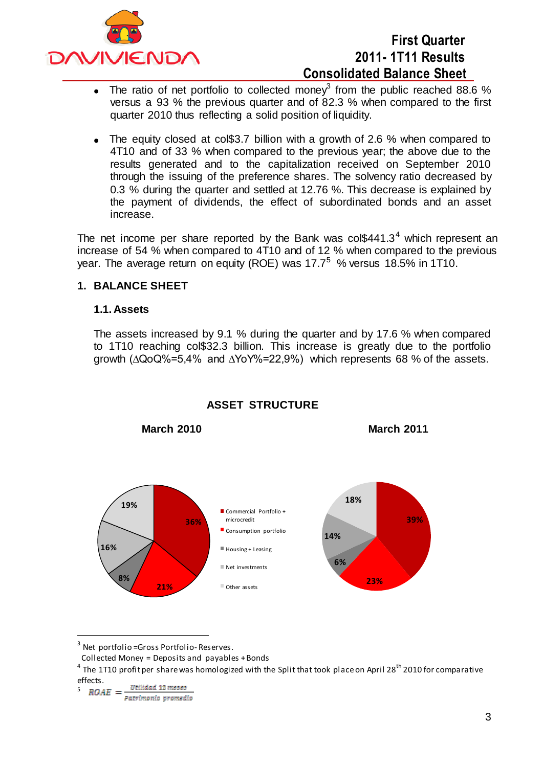

- The ratio of net portfolio to collected money<sup>3</sup> from the public reached 88.6 %  $\bullet$ versus a 93 % the previous quarter and of 82.3 % when compared to the first quarter 2010 thus reflecting a solid position of liquidity.
- The equity closed at col\$3.7 billion with a growth of 2.6 % when compared to 4T10 and of 33 % when compared to the previous year; the above due to the results generated and to the capitalization received on September 2010 through the issuing of the preference shares. The solvency ratio decreased by 0.3 % during the quarter and settled at 12.76 %. This decrease is explained by the payment of dividends, the effect of subordinated bonds and an asset increase.

The net income per share reported by the Bank was  $\text{col$}441.3^4$  which represent an increase of 54 % when compared to 4T10 and of 12 % when compared to the previous vear. The average return on equity (ROE) was  $17.7^5$  % versus 18.5% in 1T10.

### **1. BALANCE SHEET**

#### **1.1. Assets**

The assets increased by 9.1 % during the quarter and by 17.6 % when compared to 1T10 reaching col\$32.3 billion. This increase is greatly due to the portfolio growth (∆QoQ%=5,4% and ∆YoY%=22,9%) which represents 68 % of the assets.



#### **ASSET STRUCTURE**

**March 2010 March 2011**

5

 $\overline{a}$ 

 $^3$  Net portfolio=Gross Portfolio-Reserves.

Collected Money = Deposits and payables + Bonds

 $^4$  The 1T10 profit per share was homologized with the Split that took place on April 28<sup>th</sup> 2010 for comparative effects.

Patrimonio promedio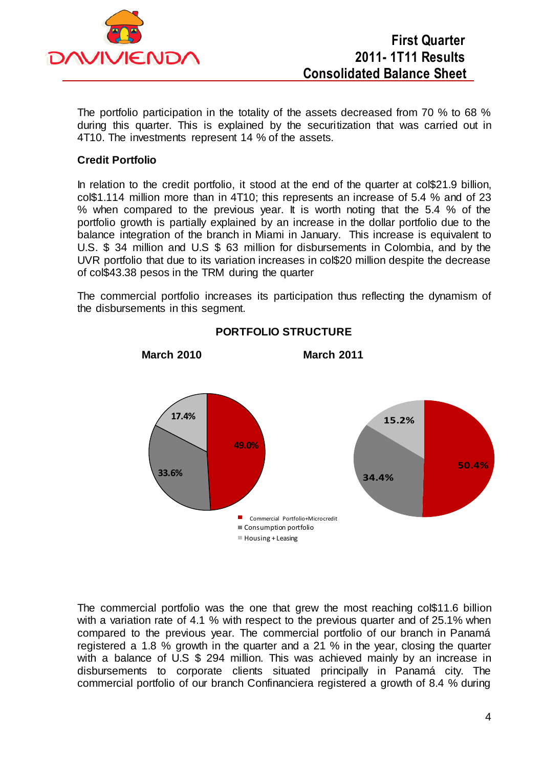

The portfolio participation in the totality of the assets decreased from 70 % to 68 % during this quarter. This is explained by the securitization that was carried out in 4T10. The investments represent 14 % of the assets.

### **Credit Portfolio**

In relation to the credit portfolio, it stood at the end of the quarter at col\$21.9 billion, col\$1.114 million more than in 4T10; this represents an increase of 5.4 % and of 23 % when compared to the previous year. It is worth noting that the 5.4 % of the portfolio growth is partially explained by an increase in the dollar portfolio due to the balance integration of the branch in Miami in January. This increase is equivalent to U.S. \$ 34 million and U.S \$ 63 million for disbursements in Colombia, and by the UVR portfolio that due to its variation increases in col\$20 million despite the decrease of col\$43.38 pesos in the TRM during the quarter

The commercial portfolio increases its participation thus reflecting the dynamism of the disbursements in this segment.



**PORTFOLIO STRUCTURE**

**March 2010 March 2011** 

The commercial portfolio was the one that grew the most reaching col\$11.6 billion with a variation rate of 4.1 % with respect to the previous quarter and of 25.1% when compared to the previous year. The commercial portfolio of our branch in Panamá registered a 1.8 % growth in the quarter and a 21 % in the year, closing the quarter with a balance of U.S \$ 294 million. This was achieved mainly by an increase in disbursements to corporate clients situated principally in Panamá city. The commercial portfolio of our branch Confinanciera registered a growth of 8.4 % during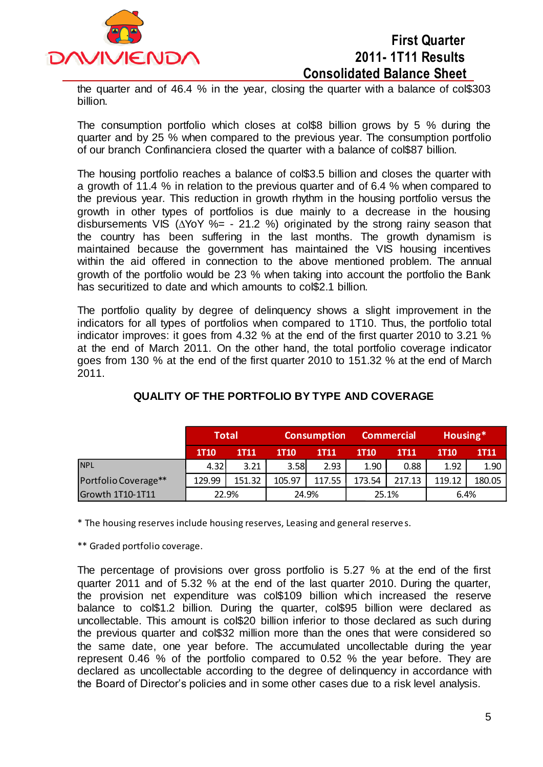

the quarter and of 46.4 % in the year, closing the quarter with a balance of col\$303 billion.

The consumption portfolio which closes at col\$8 billion grows by 5 % during the quarter and by 25 % when compared to the previous year. The consumption portfolio of our branch Confinanciera closed the quarter with a balance of col\$87 billion.

The housing portfolio reaches a balance of col\$3.5 billion and closes the quarter with a growth of 11.4 % in relation to the previous quarter and of 6.4 % when compared to the previous year. This reduction in growth rhythm in the housing portfolio versus the growth in other types of portfolios is due mainly to a decrease in the housing disbursements VIS (∆YoY %= - 21.2 %) originated by the strong rainy season that the country has been suffering in the last months. The growth dynamism is maintained because the government has maintained the VIS housing incentives within the aid offered in connection to the above mentioned problem. The annual growth of the portfolio would be 23 % when taking into account the portfolio the Bank has securitized to date and which amounts to cols2.1 billion.

The portfolio quality by degree of delinquency shows a slight improvement in the indicators for all types of portfolios when compared to 1T10. Thus, the portfolio total indicator improves: it goes from 4.32 % at the end of the first quarter 2010 to 3.21 % at the end of March 2011. On the other hand, the total portfolio coverage indicator goes from 130 % at the end of the first quarter 2010 to 151.32 % at the end of March 2011.

|                         | <b>Total</b> |             | <b>Consumption</b> |             | <b>Commercial</b> |             | Housing*    |             |
|-------------------------|--------------|-------------|--------------------|-------------|-------------------|-------------|-------------|-------------|
|                         | <b>1T10</b>  | <b>1T11</b> | <b>1T10</b>        | <b>1T11</b> | <b>1T10</b>       | <b>1T11</b> | <b>1T10</b> | <b>1T11</b> |
| <b>NPL</b>              | 4.32         | 3.21        | 3.58               | 2.93        | 1.90              | 0.88        | 1.92        | 1.90        |
| Portfolio Coverage**    | 129.99       | 151.32      | 105.97             | 117.55      | 173.54            | 217.13      | 119.12      | 180.05      |
| <b>Growth 1T10-1T11</b> | 22.9%        |             | 24.9%              |             | 25.1%             |             | 6.4%        |             |

## **QUALITY OF THE PORTFOLIO BY TYPE AND COVERAGE**

\* The housing reserves include housing reserves, Leasing and general reserve s.

\*\* Graded portfolio coverage.

The percentage of provisions over gross portfolio is 5.27 % at the end of the first quarter 2011 and of 5.32 % at the end of the last quarter 2010. During the quarter, the provision net expenditure was col\$109 billion which increased the reserve balance to col\$1.2 billion. During the quarter, col\$95 billion were declared as uncollectable. This amount is col\$20 billion inferior to those declared as such during the previous quarter and col\$32 million more than the ones that were considered so the same date, one year before. The accumulated uncollectable during the year represent 0.46 % of the portfolio compared to 0.52 % the year before. They are declared as uncollectable according to the degree of delinquency in accordance with the Board of Director's policies and in some other cases due to a risk level analysis.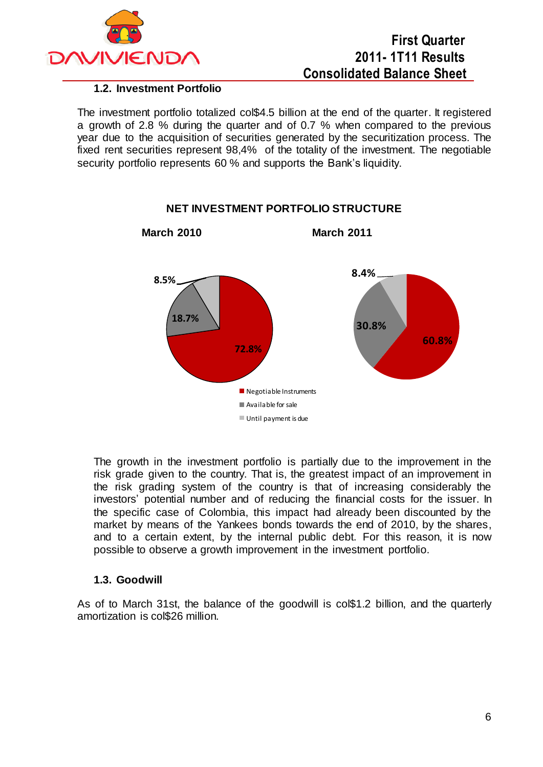

### **1.2. Investment Portfolio**

The investment portfolio totalized col\$4.5 billion at the end of the quarter. It registered a growth of 2.8 % during the quarter and of 0.7 % when compared to the previous year due to the acquisition of securities generated by the securitization process. The fixed rent securities represent 98,4% of the totality of the investment. The negotiable security portfolio represents 60 % and supports the Bank's liquidity.



## **NET INVESTMENT PORTFOLIO STRUCTURE**

The growth in the investment portfolio is partially due to the improvement in the risk grade given to the country. That is, the greatest impact of an improvement in the risk grading system of the country is that of increasing considerably the investors' potential number and of reducing the financial costs for the issuer. In the specific case of Colombia, this impact had already been discounted by the market by means of the Yankees bonds towards the end of 2010, by the shares, and to a certain extent, by the internal public debt. For this reason, it is now possible to observe a growth improvement in the investment portfolio.

#### **1.3. Goodwill**

As of to March 31st, the balance of the goodwill is col\$1.2 billion, and the quarterly amortization is col\$26 million.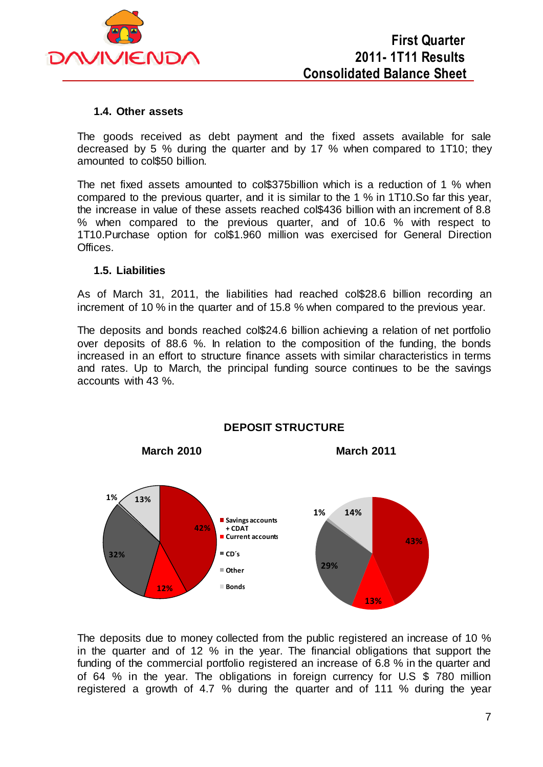

#### **1.4. Other assets**

The goods received as debt payment and the fixed assets available for sale decreased by 5 % during the quarter and by 17 % when compared to 1T10; they amounted to col\$50 billion.

The net fixed assets amounted to col\$375billion which is a reduction of 1 % when compared to the previous quarter, and it is similar to the 1 % in 1T10.So far this year, the increase in value of these assets reached col\$436 billion with an increment of 8.8 % when compared to the previous quarter, and of 10.6 % with respect to 1T10.Purchase option for col\$1.960 million was exercised for General Direction Offices.

#### **1.5. Liabilities**

As of March 31, 2011, the liabilities had reached col\$28.6 billion recording an increment of 10 % in the quarter and of 15.8 % when compared to the previous year.

The deposits and bonds reached col\$24.6 billion achieving a relation of net portfolio over deposits of 88.6 %. In relation to the composition of the funding, the bonds increased in an effort to structure finance assets with similar characteristics in terms and rates. Up to March, the principal funding source continues to be the savings accounts with 43 %.



**DEPOSIT STRUCTURE**

The deposits due to money collected from the public registered an increase of 10 % in the quarter and of 12 % in the year. The financial obligations that support the funding of the commercial portfolio registered an increase of 6.8 % in the quarter and of 64 % in the year. The obligations in foreign currency for U.S \$ 780 million registered a growth of 4.7 % during the quarter and of 111 % during the year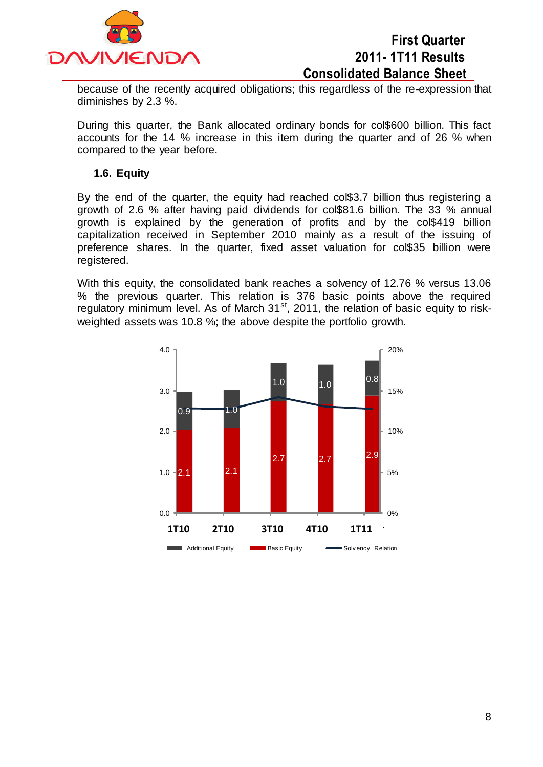

because of the recently acquired obligations; this regardless of the re-expression that diminishes by 2.3 %.

During this quarter, the Bank allocated ordinary bonds for col\$600 billion. This fact accounts for the 14 % increase in this item during the quarter and of 26 % when compared to the year before.

#### **1.6. Equity**

By the end of the quarter, the equity had reached col\$3.7 billion thus registering a growth of 2.6 % after having paid dividends for col\$81.6 billion. The 33 % annual growth is explained by the generation of profits and by the col\$419 billion capitalization received in September 2010 mainly as a result of the issuing of preference shares. In the quarter, fixed asset valuation for col\$35 billion were registered.

With this equity, the consolidated bank reaches a solvency of 12.76 % versus 13.06 % the previous quarter. This relation is 376 basic points above the required regulatory minimum level. As of March 31<sup>st</sup>, 2011, the relation of basic equity to riskweighted assets was 10.8 %; the above despite the portfolio growth.

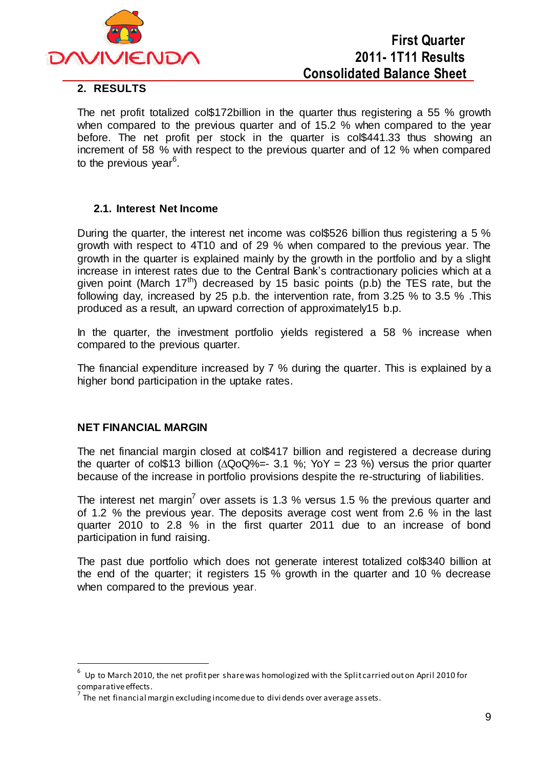

### **2. RESULTS**

The net profit totalized col\$172billion in the quarter thus registering a 55 % growth when compared to the previous quarter and of 15.2 % when compared to the year before. The net profit per stock in the quarter is col\$441.33 thus showing an increment of 58 % with respect to the previous quarter and of 12 % when compared to the previous year<sup>6</sup>.

#### **2.1. Interest Net Income**

During the quarter, the interest net income was col\$526 billion thus registering a 5 % growth with respect to 4T10 and of 29 % when compared to the previous year. The growth in the quarter is explained mainly by the growth in the portfolio and by a slight increase in interest rates due to the Central Bank's contractionary policies which at a given point (March  $17<sup>th</sup>$ ) decreased by 15 basic points (p.b) the TES rate, but the following day, increased by 25 p.b. the intervention rate, from 3.25 % to 3.5 % .This produced as a result, an upward correction of approximately15 b.p.

In the quarter, the investment portfolio yields registered a 58 % increase when compared to the previous quarter.

The financial expenditure increased by 7 % during the quarter. This is explained by a higher bond participation in the uptake rates.

#### **NET FINANCIAL MARGIN**

 $\overline{a}$ 

The net financial margin closed at col\$417 billion and registered a decrease during the quarter of col\$13 billion ( $\Delta$ QoQ%=- 3.1 %; YoY = 23 %) versus the prior quarter because of the increase in portfolio provisions despite the re-structuring of liabilities.

The interest net margin<sup>7</sup> over assets is 1.3 % versus 1.5 % the previous quarter and of 1.2 % the previous year. The deposits average cost went from 2.6 % in the last quarter 2010 to 2.8 % in the first quarter 2011 due to an increase of bond participation in fund raising.

The past due portfolio which does not generate interest totalized col\$340 billion at the end of the quarter; it registers 15 % growth in the quarter and 10 % decrease when compared to the previous year.

<sup>6</sup> Up to March 2010, the net profit per share was homologized with the Split carried out on April 2010 for comparative effects.

 $^7$  The net financial margin excluding income due to dividends over average assets.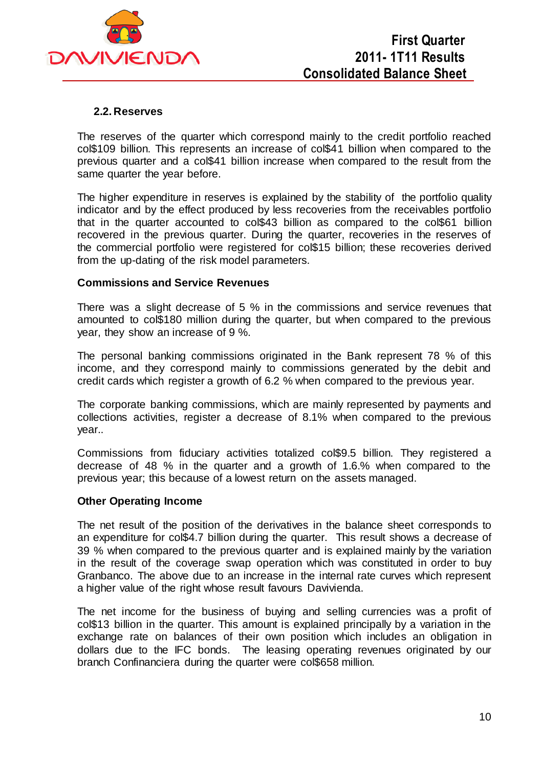

#### **2.2. Reserves**

The reserves of the quarter which correspond mainly to the credit portfolio reached col\$109 billion. This represents an increase of col\$41 billion when compared to the previous quarter and a col\$41 billion increase when compared to the result from the same quarter the year before.

The higher expenditure in reserves is explained by the stability of the portfolio quality indicator and by the effect produced by less recoveries from the receivables portfolio that in the quarter accounted to col\$43 billion as compared to the col\$61 billion recovered in the previous quarter. During the quarter, recoveries in the reserves of the commercial portfolio were registered for col\$15 billion; these recoveries derived from the up-dating of the risk model parameters.

#### **Commissions and Service Revenues**

There was a slight decrease of 5 % in the commissions and service revenues that amounted to col\$180 million during the quarter, but when compared to the previous year, they show an increase of 9 %.

The personal banking commissions originated in the Bank represent 78 % of this income, and they correspond mainly to commissions generated by the debit and credit cards which register a growth of 6.2 % when compared to the previous year.

The corporate banking commissions, which are mainly represented by payments and collections activities, register a decrease of 8.1% when compared to the previous year..

Commissions from fiduciary activities totalized col\$9.5 billion. They registered a decrease of 48 % in the quarter and a growth of 1.6.% when compared to the previous year; this because of a lowest return on the assets managed.

#### **Other Operating Income**

The net result of the position of the derivatives in the balance sheet corresponds to an expenditure for col\$4.7 billion during the quarter. This result shows a decrease of 39 % when compared to the previous quarter and is explained mainly by the variation in the result of the coverage swap operation which was constituted in order to buy Granbanco. The above due to an increase in the internal rate curves which represent a higher value of the right whose result favours Davivienda.

The net income for the business of buying and selling currencies was a profit of col\$13 billion in the quarter. This amount is explained principally by a variation in the exchange rate on balances of their own position which includes an obligation in dollars due to the IFC bonds. The leasing operating revenues originated by our branch Confinanciera during the quarter were col\$658 million.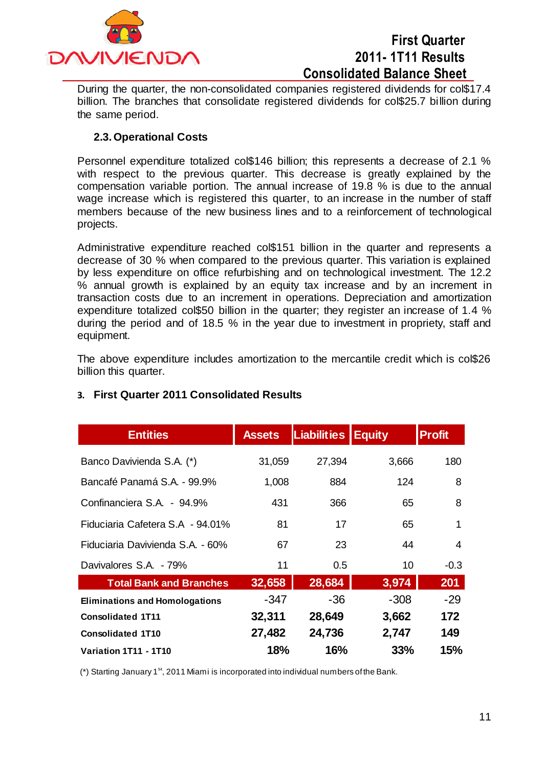

During the quarter, the non-consolidated companies registered dividends for col\$17.4 billion. The branches that consolidate registered dividends for col\$25.7 billion during the same period.

## **2.3. Operational Costs**

Personnel expenditure totalized col\$146 billion; this represents a decrease of 2.1 % with respect to the previous quarter. This decrease is greatly explained by the compensation variable portion. The annual increase of 19.8 % is due to the annual wage increase which is registered this quarter, to an increase in the number of staff members because of the new business lines and to a reinforcement of technological projects.

Administrative expenditure reached col\$151 billion in the quarter and represents a decrease of 30 % when compared to the previous quarter. This variation is explained by less expenditure on office refurbishing and on technological investment. The 12.2 % annual growth is explained by an equity tax increase and by an increment in transaction costs due to an increment in operations. Depreciation and amortization expenditure totalized col\$50 billion in the quarter; they register an increase of 1.4 % during the period and of 18.5 % in the year due to investment in propriety, staff and equipment.

The above expenditure includes amortization to the mercantile credit which is col\$26 billion this quarter.

| <b>Entities</b>                       | <b>Assets</b> | Liabilities | <b>Equity</b> | <b>Profit</b> |
|---------------------------------------|---------------|-------------|---------------|---------------|
| Banco Davivienda S.A. (*)             | 31,059        | 27,394      | 3,666         | 180           |
| Bancafé Panamá S.A. - 99.9%           | 1,008         | 884         | 124           | 8             |
| Confinanciera S.A. - 94.9%            | 431           | 366         | 65            | 8             |
| Fiduciaria Cafetera S.A - 94.01%      | 81            | 17          | 65            | 1             |
| Fiduciaria Davivienda S.A. - 60%      | 67            | 23          | 44            | 4             |
| Davivalores S.A. - 79%                | 11            | 0.5         | 10            | $-0.3$        |
| <b>Total Bank and Branches</b>        | 32,658        | 28,684      | 3,974         | 201           |
| <b>Eliminations and Homologations</b> | $-347$        | $-36$       | $-308$        | $-29$         |
| <b>Consolidated 1T11</b>              | 32,311        | 28,649      | 3,662         | 172           |
| <b>Consolidated 1T10</b>              | 27,482        | 24,736      | 2,747         | 149           |
| Variation 1T11 - 1T10                 | <b>18%</b>    | 16%         | 33%           | 15%           |

### **3. First Quarter 2011 Consolidated Results**

(\*) Starting January 1<sup>st</sup>, 2011 Miami is incorporated into individual numbers of the Bank.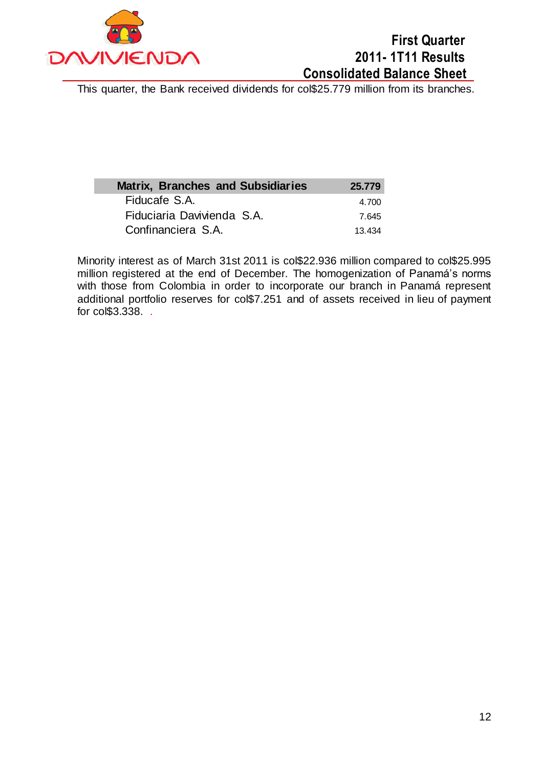

This quarter, the Bank received dividends for col\$25.779 million from its branches.

| <b>Matrix, Branches and Subsidiaries</b> | 25,779 |
|------------------------------------------|--------|
| Fiducafe S.A.                            | 4.700  |
| Fiduciaria Davivienda S.A.               | 7.645  |
| Confinanciera S.A.                       | 13 434 |

Minority interest as of March 31st 2011 is col\$22.936 million compared to col\$25.995 million registered at the end of December. The homogenization of Panamá's norms with those from Colombia in order to incorporate our branch in Panamá represent additional portfolio reserves for col\$7.251 and of assets received in lieu of payment for col\$3.338. .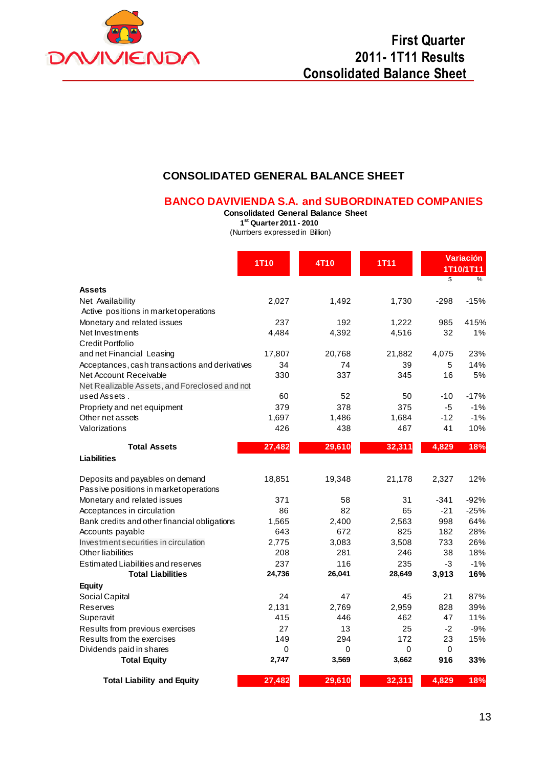

## **CONSOLIDATED GENERAL BALANCE SHEET**

#### **BANCO DAVIVIENDA S.A. and SUBORDINATED COMPANIES**

**Consolidated General Balance Sheet**

**1 st Quarter 2011 - 2010**

(Numbers expressed in Billion)

|                                                | 1T <sub>10</sub> | 4T <sub>10</sub> | <b>1T11</b> | \$     | <b>Variación</b><br>1T10/1T11<br>% |
|------------------------------------------------|------------------|------------------|-------------|--------|------------------------------------|
| <b>Assets</b>                                  |                  |                  |             |        |                                    |
| Net Availability                               | 2,027            | 1,492            | 1,730       | $-298$ | $-15%$                             |
| Active positions in market operations          |                  |                  |             |        |                                    |
| Monetary and related issues                    | 237              | 192              | 1,222       | 985    | 415%                               |
| Net Investments                                | 4,484            | 4,392            | 4,516       | 32     | 1%                                 |
| Credit Portfolio                               |                  |                  |             |        |                                    |
| and net Financial Leasing                      | 17,807           | 20,768           | 21,882      | 4,075  | 23%                                |
| Acceptances, cash transactions and derivatives | 34               | 74               | 39          | 5      | 14%                                |
| Net Account Receivable                         | 330              | 337              | 345         | 16     | 5%                                 |
| Net Realizable Assets, and Foreclosed and not  |                  |                  |             |        |                                    |
| used Assets.                                   | 60               | 52               | 50          | $-10$  | $-17%$                             |
| Propriety and net equipment                    | 379              | 378              | 375         | $-5$   | $-1%$                              |
| Other net assets                               | 1,697            | 1,486            | 1,684       | $-12$  | $-1%$                              |
| Valorizations                                  | 426              | 438              | 467         | 41     | 10%                                |
| <b>Total Assets</b>                            | 27,482           | 29,610           | 32,311      | 4,829  | 18%                                |
| <b>Liabilities</b>                             |                  |                  |             |        |                                    |
| Deposits and payables on demand                | 18,851           | 19,348           | 21,178      | 2,327  | 12%                                |
| Passive positions in market operations         |                  |                  |             |        |                                    |
| Monetary and related issues                    | 371              | 58               | 31          | $-341$ | $-92%$                             |
| Acceptances in circulation                     | 86               | 82               | 65          | $-21$  | $-25%$                             |
| Bank credits and other financial obligations   | 1,565            | 2,400            | 2,563       | 998    | 64%                                |
| Accounts payable                               | 643              | 672              | 825         | 182    | 28%                                |
| Investment securities in circulation           | 2.775            | 3,083            | 3,508       | 733    | 26%                                |
| <b>Other liabilities</b>                       | 208              | 281              | 246         | 38     | 18%                                |
| Estimated Liabilities and reserves             | 237              | 116              | 235         | -3     | $-1%$                              |
| <b>Total Liabilities</b>                       | 24,736           | 26,041           | 28,649      | 3,913  | 16%                                |
| <b>Equity</b>                                  |                  |                  |             |        |                                    |
| Social Capital                                 | 24               | 47               | 45          | 21     | 87%                                |
| <b>Reserves</b>                                | 2,131            | 2,769            | 2,959       | 828    | 39%                                |
| Superavit                                      | 415              | 446              | 462         | 47     | 11%                                |
| Results from previous exercises                | 27               | 13               | 25          | $-2$   | $-9%$                              |
| Results from the exercises                     | 149              | 294              | 172         | 23     | 15%                                |
| Dividends paid in shares                       | $\Omega$         | $\Omega$         | $\Omega$    | 0      |                                    |
| <b>Total Equity</b>                            | 2,747            | 3,569            | 3,662       | 916    | 33%                                |
| <b>Total Liability and Equity</b>              | 27,482           | 29,610           | 32,311      | 4,829  | 18%                                |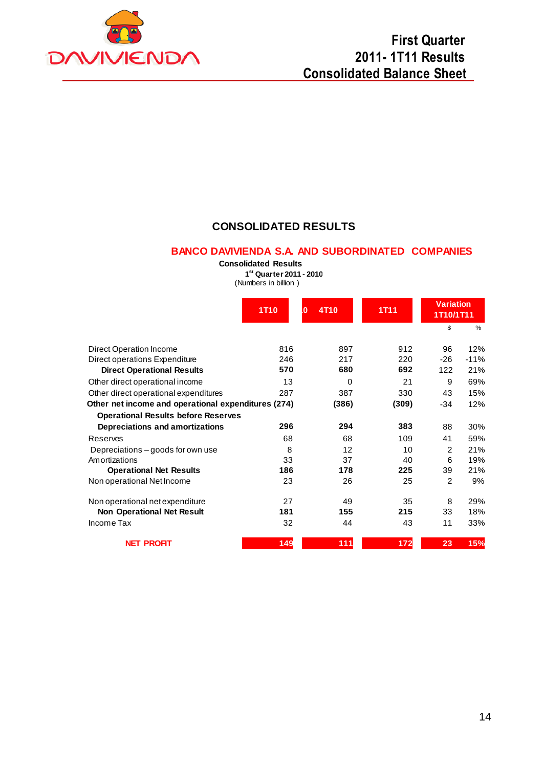

### **CONSOLIDATED RESULTS**

#### **BANCO DAVIVIENDA S.A. AND SUBORDINATED COMPANIES**

**Consolidated Results**

**1 st Quarter 2011 - 2010**

(Numbers in billion )

|                                                     | 4T <sub>10</sub><br>1T <sub>10</sub><br>$\bf{0}$ |          | <b>1T11</b> | <b>Variation</b><br>1T10/1T11 |               |
|-----------------------------------------------------|--------------------------------------------------|----------|-------------|-------------------------------|---------------|
|                                                     |                                                  |          |             | \$                            | $\frac{0}{0}$ |
| Direct Operation Income                             | 816                                              | 897      | 912         | 96                            | 12%           |
| Direct operations Expenditure                       | 246                                              | 217      | 220         | $-26$                         | $-11%$        |
| <b>Direct Operational Results</b>                   | 570                                              | 680      | 692         | 122                           | 21%           |
| Other direct operational income                     | 13                                               | $\Omega$ | 21          | 9                             | 69%           |
| Other direct operational expenditures               | 287                                              | 387      | 330         | 43                            | 15%           |
| Other net income and operational expenditures (274) |                                                  | (386)    | (309)       | $-34$                         | 12%           |
| <b>Operational Results before Reserves</b>          |                                                  |          |             |                               |               |
| Depreciations and amortizations                     | 296                                              | 294      | 383         | 88                            | 30%           |
| Reserves                                            | 68                                               | 68       | 109         | 41                            | 59%           |
| Depreciations – goods for own use                   | 8                                                | 12       | 10          | 2                             | 21%           |
| Amortizations                                       | 33                                               | 37       | 40          | 6                             | 19%           |
| <b>Operational Net Results</b>                      | 186                                              | 178      | 225         | 39                            | 21%           |
| Non operational Net Income                          | 23                                               | 26       | 25          | 2                             | 9%            |
| Non operational net expenditure                     | 27                                               | 49       | 35          | 8                             | 29%           |
| <b>Non Operational Net Result</b>                   | 181                                              | 155      | 215         | 33                            | 18%           |
| Income Tax                                          | 32                                               | 44       | 43          | 11                            | 33%           |
| <b>NET PROFIT</b>                                   | 149                                              | 111      | 172         | 23                            | 15%           |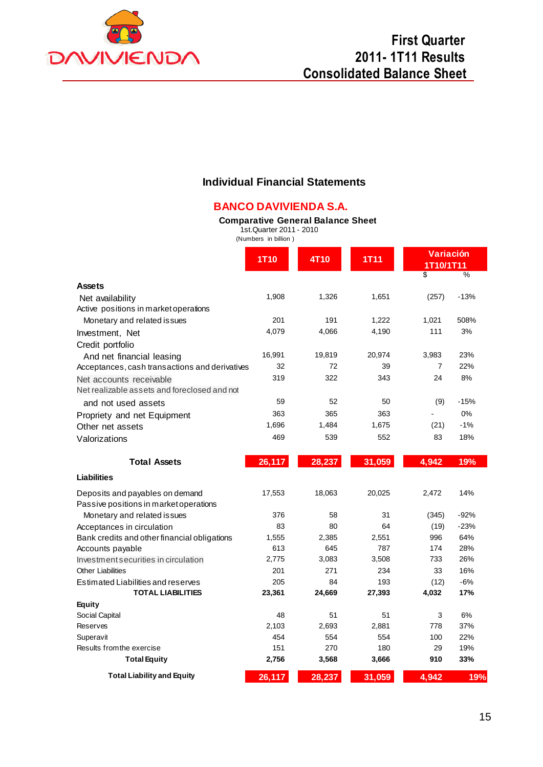

### **Individual Financial Statements**

## **BANCO DAVIVIENDA S.A.**

#### **Comparative General Balance Sheet**

1st.Quarter 2011 - 2010 (Numbers in billion )

|                                                                             | <b>1T10</b> | 4T10   | <b>1T11</b> | Variación<br>1T10/1T11 |        |
|-----------------------------------------------------------------------------|-------------|--------|-------------|------------------------|--------|
| <b>Assets</b>                                                               |             |        |             | \$                     | %      |
| Net availability                                                            | 1,908       | 1,326  | 1,651       | (257)                  | $-13%$ |
| Active positions in market operations                                       |             |        |             |                        |        |
| Monetary and related issues                                                 | 201         | 191    | 1,222       | 1,021                  | 508%   |
| Investment, Net                                                             | 4,079       | 4,066  | 4,190       | 111                    | 3%     |
| Credit portfolio                                                            |             |        |             |                        |        |
|                                                                             | 16,991      | 19,819 | 20,974      | 3,983                  | 23%    |
| And net financial leasing<br>Acceptances, cash transactions and derivatives | 32          | 72     | 39          | 7                      | 22%    |
|                                                                             | 319         | 322    | 343         | 24                     | 8%     |
| Net accounts receivable<br>Net realizable assets and foreclosed and not     |             |        |             |                        |        |
| and not used assets                                                         | 59          | 52     | 50          | (9)                    | $-15%$ |
|                                                                             | 363         | 365    | 363         |                        | 0%     |
| Propriety and net Equipment                                                 | 1,696       | 1,484  | 1,675       | (21)                   | $-1%$  |
| Other net assets                                                            |             |        |             |                        |        |
| Valorizations                                                               | 469         | 539    | 552         | 83                     | 18%    |
| <b>Total Assets</b>                                                         | 26,117      | 28,237 | 31,059      | 4,942                  | 19%    |
| <b>Liabilities</b>                                                          |             |        |             |                        |        |
| Deposits and payables on demand                                             | 17,553      | 18,063 | 20,025      | 2,472                  | 14%    |
| Passive positions in market operations                                      |             |        |             |                        |        |
| Monetary and related issues                                                 | 376         | 58     | 31          | (345)                  | $-92%$ |
| Acceptances in circulation                                                  | 83          | 80     | 64          | (19)                   | $-23%$ |
| Bank credits and other financial obligations                                | 1,555       | 2,385  | 2,551       | 996                    | 64%    |
| Accounts payable                                                            | 613         | 645    | 787         | 174                    | 28%    |
| Investment securities in circulation                                        | 2,775       | 3,083  | 3,508       | 733                    | 26%    |
| <b>Other Liabilities</b>                                                    | 201         | 271    | 234         | 33                     | 16%    |
| Estimated Liabilities and reserves                                          | 205         | 84     | 193         | (12)                   | $-6%$  |
| <b>TOTAL LIABILITIES</b>                                                    | 23,361      | 24,669 | 27,393      | 4,032                  | 17%    |
| Equity                                                                      |             |        |             |                        |        |
| Social Capital                                                              | 48          | 51     | 51          | 3                      | 6%     |
| Reserves                                                                    | 2,103       | 2,693  | 2,881       | 778                    | 37%    |
| Superavit                                                                   | 454         | 554    | 554         | 100                    | 22%    |
| Results from the exercise                                                   | 151         | 270    | 180         | 29                     | 19%    |
| <b>Total Equity</b>                                                         | 2,756       | 3,568  | 3,666       | 910                    | 33%    |
| <b>Total Liability and Equity</b>                                           | 26,117      | 28,237 | 31,059      | 4,942                  | 19%    |